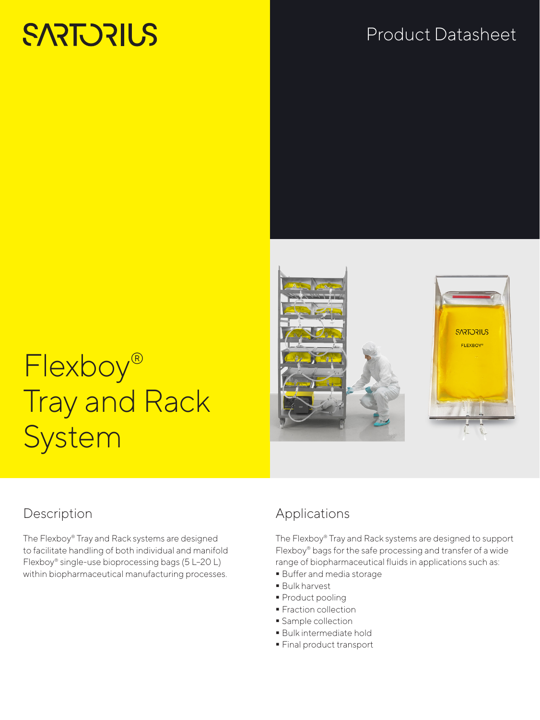# **SARTORIUS**

# Product Datasheet





# Flexboy® Tray and Rack System

## Description

The Flexboy® Tray and Rack systems are designed to facilitate handling of both individual and manifold Flexboy® single-use bioprocessing bags (5 L–20 L) within biopharmaceutical manufacturing processes.

## Applications

The Flexboy® Tray and Rack systems are designed to support Flexboy® bags for the safe processing and transfer of a wide range of biopharmaceutical fluids in applications such as:

- Buffer and media storage
- Bulk harvest
- **Product pooling**
- **Fraction collection**
- **Sample collection**
- Bulk intermediate hold
- Final product transport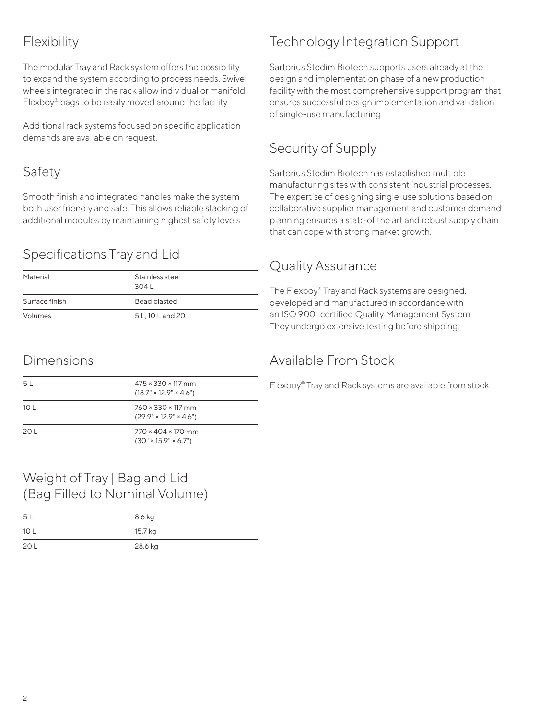# Flexibility

The modular Tray and Rack system offers the possibility to expand the system according to process needs. Swivel wheels integrated in the rack allow individual or manifold Flexboy® bags to be easily moved around the facility.

Additional rack systems focused on specific application demands are available on request.

# Safety

Smooth finish and integrated handles make the system both user friendly and safe. This allows reliable stacking of additional modules by maintaining highest safety levels.

# Specifications Tray and Lid

| Material       | Stainless steel<br>3041 |
|----------------|-------------------------|
| Surface finish | Bead blasted            |
| Volumes        | 5 L, 10 L and 20 L      |

### Dimensions

| 5 L  | $475 \times 330 \times 117$ mm<br>$(18.7" \times 12.9" \times 4.6")$  |
|------|-----------------------------------------------------------------------|
| 10 L | $760 \times 330 \times 117$ mm<br>$(29.9" \times 12.9" \times 4.6")$  |
| 20 L | $770 \times 404 \times 170$ mm<br>$(30'' \times 15.9'' \times 6.7'')$ |

### Weight of Tray | Bag and Lid (Bag Filled to Nominal Volume)

| -5 L | 8.6 kg  |
|------|---------|
| 10 L | 15.7 kg |
| 20 L | 28.6 kg |

# Technology Integration Support

Sartorius Stedim Biotech supports users already at the design and implementation phase of a new production facility with the most comprehensive support program that ensures successful design implementation and validation of single-use manufacturing.

# Security of Supply

Sartorius Stedim Biotech has established multiple manufacturing sites with consistent industrial processes. The expertise of designing single-use solutions based on collaborative supplier management and customer demand planning ensures a state of the art and robust supply chain that can cope with strong market growth.

# Quality Assurance

The Flexboy® Tray and Rack systems are designed, developed and manufactured in accordance with an ISO 9001 certified Quality Management System. They undergo extensive testing before shipping.

# Available From Stock

Flexboy® Tray and Rack systems are available from stock.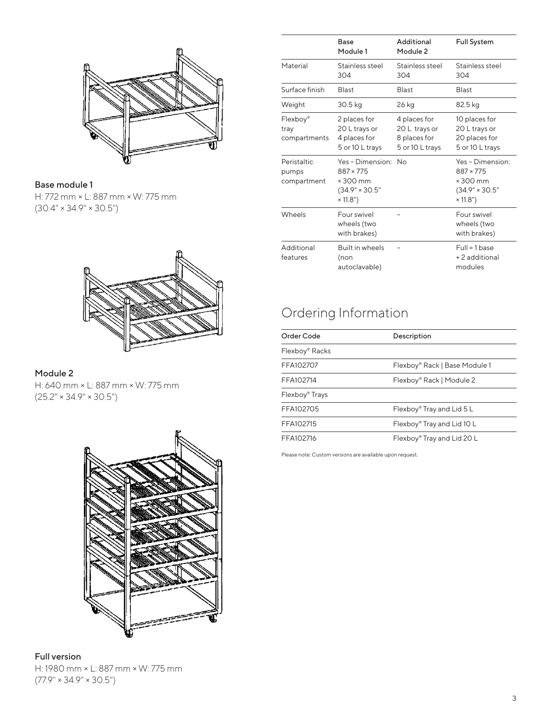

### Base module 1

H: 772 mm × L: 887 mm × W: 775 mm  $(30.4" \times 34.9" \times 30.5")$ 



### Module 2

H: 640 mm × L: 887 mm × W: 775 mm  $(25.2" \times 34.9" \times 30.5")$ 



#### Full version H: 1980 mm × L: 887 mm × W: 775 mm  $(77.9" \times 34.9" \times 30.5")$

|                                     | Base<br>Module 1                                                                             | Additional<br>Module 2                                           | <b>Full System</b>                                                                          |
|-------------------------------------|----------------------------------------------------------------------------------------------|------------------------------------------------------------------|---------------------------------------------------------------------------------------------|
| Material                            | Stainless steel<br>304                                                                       | Stainless steel<br>304                                           | Stainless steel<br>304                                                                      |
| Surface finish                      | <b>Blast</b>                                                                                 | <b>Blast</b>                                                     | <b>Blast</b>                                                                                |
| Weight                              | 30.5 kg                                                                                      | 26 kg                                                            | 82.5 kg                                                                                     |
| Flexboy®<br>tray<br>compartments    | 2 places for<br>20 L trays or<br>4 places for<br>5 or 10 L trays                             | 4 places for<br>20 L trays or<br>8 places for<br>5 or 10 L trays | 10 places for<br>20 L trays or<br>20 places for<br>5 or 10 L trays                          |
| Peristaltic<br>pumps<br>compartment | Yes-Dimension: No<br>$887 \times 775$<br>$\times$ 300 mm<br>$(34.9" \times 30.5"$<br>×11.8") |                                                                  | Yes - Dimension:<br>$887 \times 775$<br>$\times$ 300 mm<br>$(34.9" \times 30.5"$<br>×11.8") |
| Wheels                              | Four swivel<br>wheels (two<br>with brakes)                                                   |                                                                  | Four swivel<br>wheels (two<br>with brakes)                                                  |
| Additional<br>features              | Built in wheels<br>(non<br>autoclavable)                                                     |                                                                  | $Full = 1 base$<br>+2 additional<br>modules                                                 |

# Ordering Information

| Order Code                             | Description                   |  |
|----------------------------------------|-------------------------------|--|
| Flexboy® Racks                         |                               |  |
| FFA102707                              | Flexboy® Rack   Base Module 1 |  |
| FFA102714                              | Flexboy® Rack   Module 2      |  |
| Flexboy <sup>®</sup> Trays             |                               |  |
| FFA102705<br>Flexboy® Tray and Lid 5 L |                               |  |
| FFA102715                              | Flexboy® Tray and Lid 10 L    |  |
| FFA102716                              | Flexboy® Tray and Lid 20 L    |  |
|                                        |                               |  |

Please note: Custom versions are available upon request.